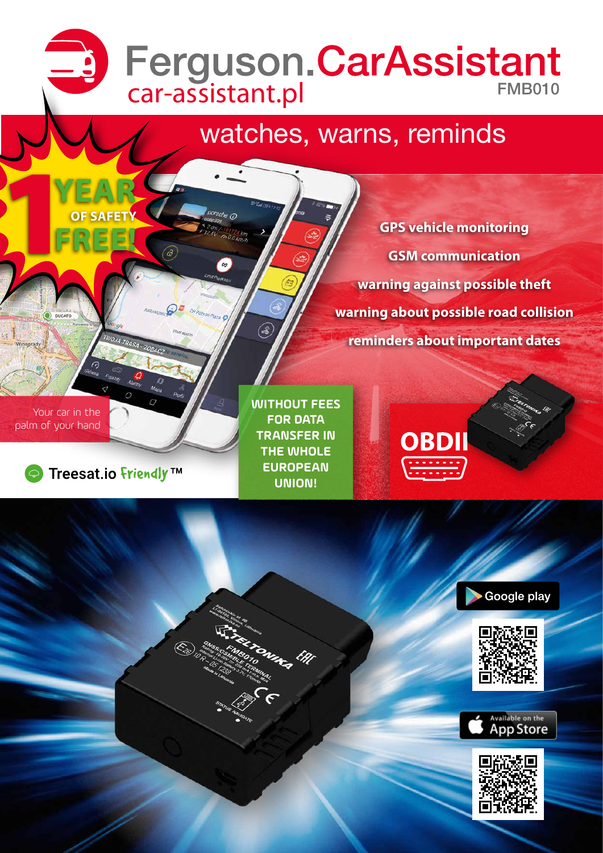# car-assistant.pl FMB010

# watches, warns, reminds

**GPS vehicle monitoring GSM communication warning against possible theft warning about possible road collision reminders about important dates**

Your car in the palm of your hand



**YEAR**

**OF SAFETY** 1**FREE!**

**Ferguson Sp. z o.o.,** ul. Dworska 1, 61-619 Poznań, Poland

tel. +48 61 822 05 11, fax +48 61 822 05 11, fax +48 61 822 05 11, fax +48 61 822 e-mail: [office@ferguson-digital.eu](mailto:office%40ferguson-digital.pl?subject=Pytanie%20o%20produkt)

**WITHOUT FEES FOR DATA TRANSFER IN THE WHOLE EUROPEAN UNION!**

m<sub>ag</sub> <sup>[</sup>h]

 $\circledast$ 

orsche O

(a





Google play



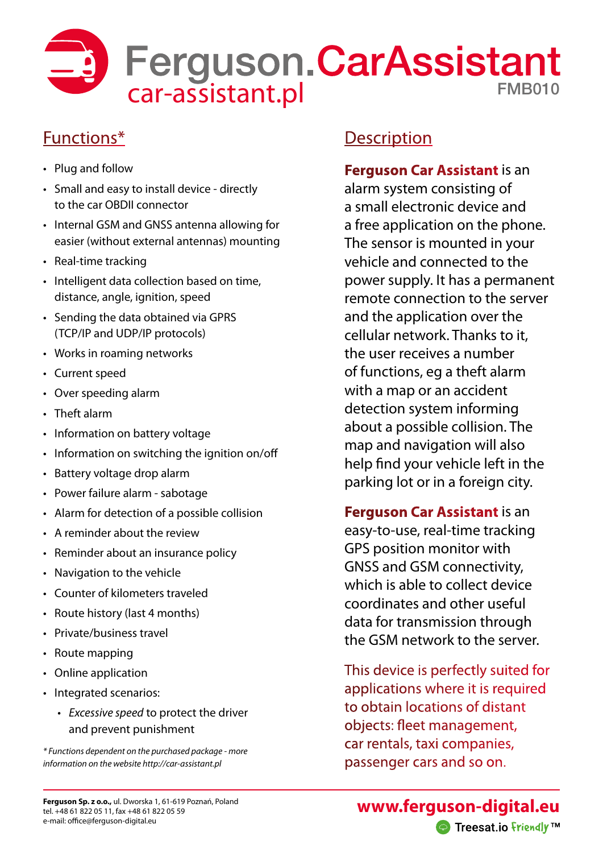

## Functions\*

- Plug and follow
- Small and easy to install device directly to the car OBDII connector
- Internal GSM and GNSS antenna allowing for easier (without external antennas) mounting
- Real-time tracking
- Intelligent data collection based on time, distance, angle, ignition, speed
- Sending the data obtained via GPRS (TCP/IP and UDP/IP protocols)
- Works in roaming networks
- Current speed
- Over speeding alarm
- Theft alarm
- Information on battery voltage
- Information on switching the ignition on/off
- Battery voltage drop alarm
- Power failure alarm sabotage
- Alarm for detection of a possible collision
- A reminder about the review
- Reminder about an insurance policy
- Navigation to the vehicle
- Counter of kilometers traveled
- Route history (last 4 months)
- Private/business travel
- Route mapping
- Online application
- Integrated scenarios:
	- *• Excessive speed* to protect the driver and prevent punishment

*\* Functions dependent on the purchased package - more information on the website http://car-assistant.pl*

## **Description**

## **Ferguson Car Assistant** is an

alarm system consisting of a small electronic device and a free application on the phone. The sensor is mounted in your vehicle and connected to the power supply. It has a permanent remote connection to the server and the application over the cellular network. Thanks to it, the user receives a number of functions, eg a theft alarm with a map or an accident detection system informing about a possible collision. The map and navigation will also help find your vehicle left in the parking lot or in a foreign city.

## **Ferguson Car Assistant** is an

easy-to-use, real-time tracking GPS position monitor with GNSS and GSM connectivity, which is able to collect device coordinates and other useful data for transmission through the GSM network to the server.

This device is perfectly suited for applications where it is required to obtain locations of distant objects: fleet management, car rentals, taxi companies, passenger cars and so on.

**[www.ferguson-digital.eu](http://www.ferguson-digital.eu/)** ● Treesat.io friendly TM